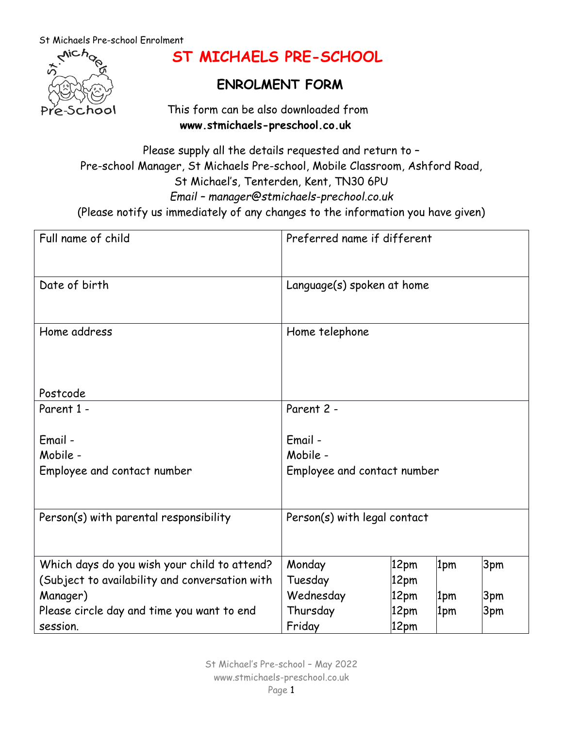

# **ST MICHAELS PRE-SCHOOL**

## **ENROLMENT FORM**

 This form can be also downloaded from  **[www.stmichaels-preschool.co.uk](http://www.stmichaels-preschool.co.uk/)**

Please supply all the details requested and return to – Pre-school Manager, St Michaels Pre-school, Mobile Classroom, Ashford Road, St Michael's, Tenterden, Kent, TN30 6PU *Email – manager@stmichaels-prechool.co.uk* (Please notify us immediately of any changes to the information you have given)

| Full name of child                             | Preferred name if different  |      |     |     |
|------------------------------------------------|------------------------------|------|-----|-----|
| Date of birth                                  | Language(s) spoken at home   |      |     |     |
| Home address                                   | Home telephone               |      |     |     |
| Postcode                                       |                              |      |     |     |
| Parent 1 -                                     | Parent 2 -                   |      |     |     |
| Email -                                        | Email -                      |      |     |     |
| Mobile -                                       | Mobile -                     |      |     |     |
| Employee and contact number                    | Employee and contact number  |      |     |     |
| Person(s) with parental responsibility         | Person(s) with legal contact |      |     |     |
| Which days do you wish your child to attend?   | Monday                       | 12pm | 1pm | 3pm |
| (Subject to availability and conversation with | Tuesday                      | 12pm |     |     |
| Manager)                                       | Wednesday                    | 12pm | 1pm | 3pm |
| Please circle day and time you want to end     | Thursday                     | 12pm | 1pm | 3pm |
| session.                                       | Friday                       | 12pm |     |     |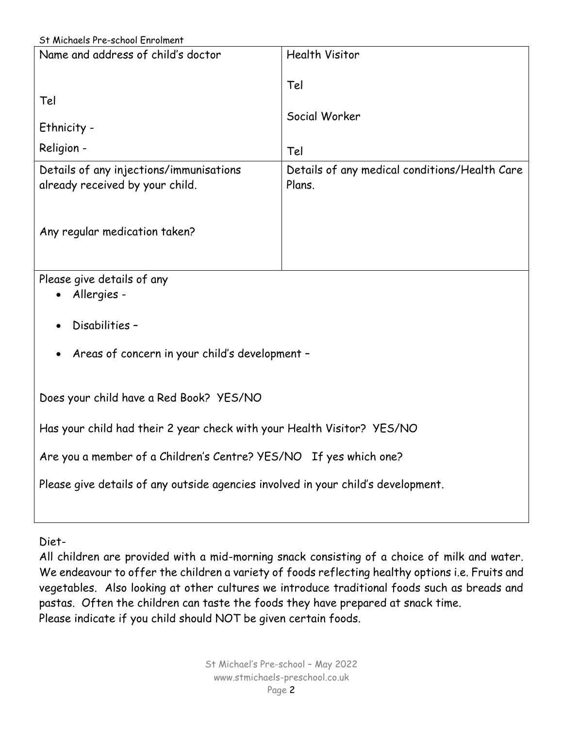| St Michaels Pre-school Enrolment |  |
|----------------------------------|--|
|----------------------------------|--|

|                                                                                   | St Michaels Pre-school Enrolment                        |  |  |
|-----------------------------------------------------------------------------------|---------------------------------------------------------|--|--|
| Name and address of child's doctor                                                | <b>Health Visitor</b>                                   |  |  |
| Tel                                                                               | Tel                                                     |  |  |
|                                                                                   | Social Worker                                           |  |  |
| Ethnicity -                                                                       |                                                         |  |  |
| Religion -                                                                        | Tel                                                     |  |  |
| Details of any injections/immunisations<br>already received by your child.        | Details of any medical conditions/Health Care<br>Plans. |  |  |
| Any regular medication taken?                                                     |                                                         |  |  |
| Please give details of any<br>Allergies -                                         |                                                         |  |  |
| Disabilities -                                                                    |                                                         |  |  |
| Areas of concern in your child's development -                                    |                                                         |  |  |
| Does your child have a Red Book? YES/NO                                           |                                                         |  |  |
| Has your child had their 2 year check with your Health Visitor? YES/NO            |                                                         |  |  |
| Are you a member of a Children's Centre? YES/NO If yes which one?                 |                                                         |  |  |
| Please give details of any outside agencies involved in your child's development. |                                                         |  |  |
|                                                                                   |                                                         |  |  |

Diet-

All children are provided with a mid-morning snack consisting of a choice of milk and water. We endeavour to offer the children a variety of foods reflecting healthy options i.e. Fruits and vegetables. Also looking at other cultures we introduce traditional foods such as breads and pastas. Often the children can taste the foods they have prepared at snack time. Please indicate if you child should NOT be given certain foods.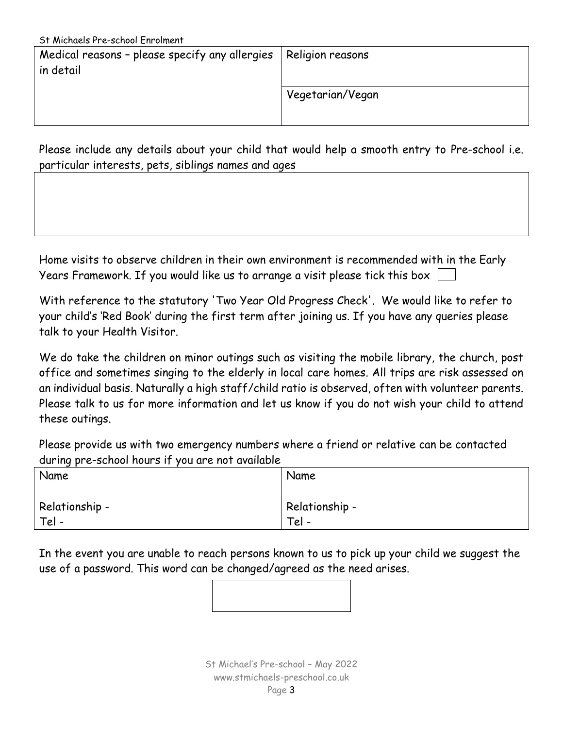| St Michaels Pre-school Enrolment               |                  |
|------------------------------------------------|------------------|
| Medical reasons - please specify any allergies | Religion reasons |
| in detail                                      |                  |
|                                                | Vegetarian/Vegan |
|                                                |                  |

Please include any details about your child that would help a smooth entry to Pre-school i.e. particular interests, pets, siblings names and ages

Home visits to observe children in their own environment is recommended with in the Early Years Framework. If you would like us to arrange a visit please tick this box

With reference to the statutory 'Two Year Old Progress Check'. We would like to refer to your child's 'Red Book' during the first term after joining us. If you have any queries please talk to your Health Visitor.

We do take the children on minor outings such as visiting the mobile library, the church, post office and sometimes singing to the elderly in local care homes. All trips are risk assessed on an individual basis. Naturally a high staff/child ratio is observed, often with volunteer parents. Please talk to us for more information and let us know if you do not wish your child to attend these outings.

Please provide us with two emergency numbers where a friend or relative can be contacted during pre-school hours if you are not available

| Name           | Name           |
|----------------|----------------|
| Relationship - | Relationship - |
| Tel -          | Tel -          |

In the event you are unable to reach persons known to us to pick up your child we suggest the use of a password. This word can be changed/agreed as the need arises.

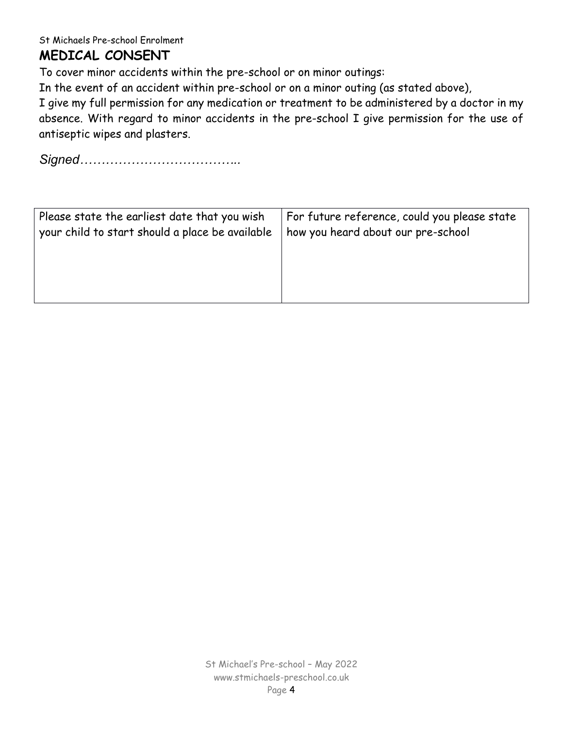## **MEDICAL CONSENT**

To cover minor accidents within the pre-school or on minor outings:

In the event of an accident within pre-school or on a minor outing (as stated above),

I give my full permission for any medication or treatment to be administered by a doctor in my absence. With regard to minor accidents in the pre-school I give permission for the use of antiseptic wipes and plasters.

*Signed………………………………..*

| Please state the earliest date that you wish    | For future reference, could you please state |  |
|-------------------------------------------------|----------------------------------------------|--|
| your child to start should a place be available | how you heard about our pre-school           |  |
|                                                 |                                              |  |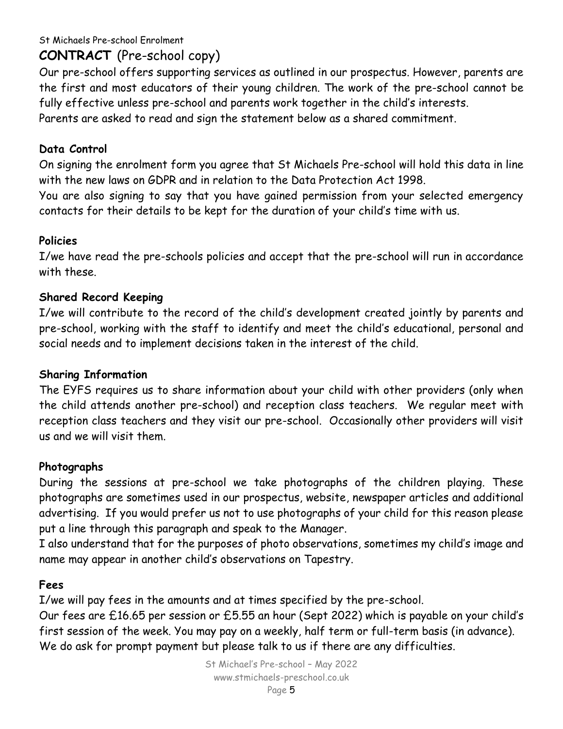## **CONTRACT** (Pre-school copy)

Our pre-school offers supporting services as outlined in our prospectus. However, parents are the first and most educators of their young children. The work of the pre-school cannot be fully effective unless pre-school and parents work together in the child's interests. Parents are asked to read and sign the statement below as a shared commitment.

#### **Data Control**

On signing the enrolment form you agree that St Michaels Pre-school will hold this data in line with the new laws on GDPR and in relation to the Data Protection Act 1998.

You are also signing to say that you have gained permission from your selected emergency contacts for their details to be kept for the duration of your child's time with us.

#### **Policies**

I/we have read the pre-schools policies and accept that the pre-school will run in accordance with these.

#### **Shared Record Keeping**

I/we will contribute to the record of the child's development created jointly by parents and pre-school, working with the staff to identify and meet the child's educational, personal and social needs and to implement decisions taken in the interest of the child.

#### **Sharing Information**

The EYFS requires us to share information about your child with other providers (only when the child attends another pre-school) and reception class teachers. We regular meet with reception class teachers and they visit our pre-school. Occasionally other providers will visit us and we will visit them.

#### **Photographs**

During the sessions at pre-school we take photographs of the children playing. These photographs are sometimes used in our prospectus, website, newspaper articles and additional advertising. If you would prefer us not to use photographs of your child for this reason please put a line through this paragraph and speak to the Manager.

I also understand that for the purposes of photo observations, sometimes my child's image and name may appear in another child's observations on Tapestry.

#### **Fees**

I/we will pay fees in the amounts and at times specified by the pre-school.

Our fees are £16.65 per session or £5.55 an hour (Sept 2022) which is payable on your child's first session of the week. You may pay on a weekly, half term or full-term basis (in advance). We do ask for prompt payment but please talk to us if there are any difficulties.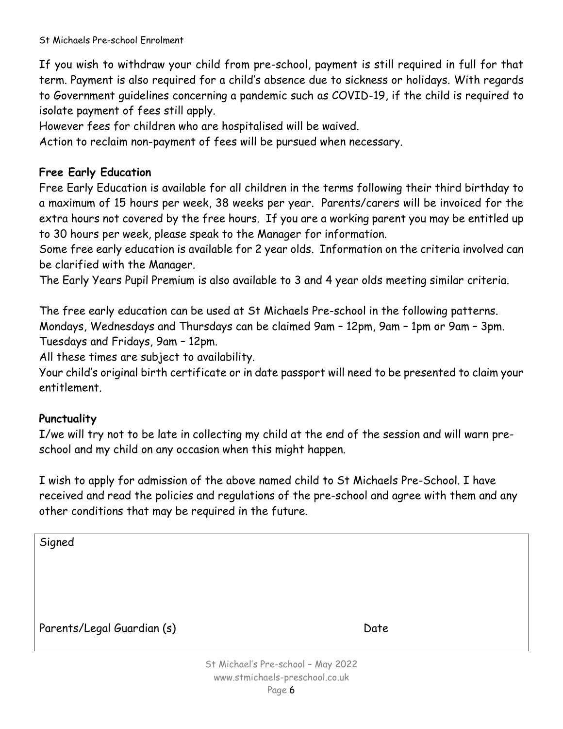If you wish to withdraw your child from pre-school, payment is still required in full for that term. Payment is also required for a child's absence due to sickness or holidays. With regards to Government guidelines concerning a pandemic such as COVID-19, if the child is required to isolate payment of fees still apply.

However fees for children who are hospitalised will be waived.

Action to reclaim non-payment of fees will be pursued when necessary.

#### **Free Early Education**

Free Early Education is available for all children in the terms following their third birthday to a maximum of 15 hours per week, 38 weeks per year. Parents/carers will be invoiced for the extra hours not covered by the free hours. If you are a working parent you may be entitled up to 30 hours per week, please speak to the Manager for information.

Some free early education is available for 2 year olds. Information on the criteria involved can be clarified with the Manager.

The Early Years Pupil Premium is also available to 3 and 4 year olds meeting similar criteria.

The free early education can be used at St Michaels Pre-school in the following patterns. Mondays, Wednesdays and Thursdays can be claimed 9am – 12pm, 9am – 1pm or 9am – 3pm. Tuesdays and Fridays, 9am – 12pm.

All these times are subject to availability.

Your child's original birth certificate or in date passport will need to be presented to claim your entitlement.

#### **Punctuality**

I/we will try not to be late in collecting my child at the end of the session and will warn preschool and my child on any occasion when this might happen.

I wish to apply for admission of the above named child to St Michaels Pre-School. I have received and read the policies and regulations of the pre-school and agree with them and any other conditions that may be required in the future.

Signed Parents/Legal Guardian (s) Date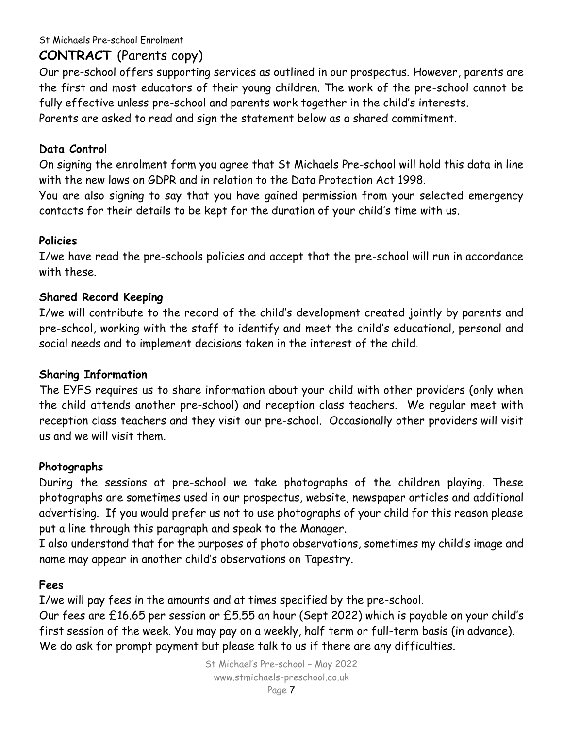## **CONTRACT** (Parents copy)

Our pre-school offers supporting services as outlined in our prospectus. However, parents are the first and most educators of their young children. The work of the pre-school cannot be fully effective unless pre-school and parents work together in the child's interests. Parents are asked to read and sign the statement below as a shared commitment.

#### **Data Control**

On signing the enrolment form you agree that St Michaels Pre-school will hold this data in line with the new laws on GDPR and in relation to the Data Protection Act 1998.

You are also signing to say that you have gained permission from your selected emergency contacts for their details to be kept for the duration of your child's time with us.

#### **Policies**

I/we have read the pre-schools policies and accept that the pre-school will run in accordance with these.

#### **Shared Record Keeping**

I/we will contribute to the record of the child's development created jointly by parents and pre-school, working with the staff to identify and meet the child's educational, personal and social needs and to implement decisions taken in the interest of the child.

#### **Sharing Information**

The EYFS requires us to share information about your child with other providers (only when the child attends another pre-school) and reception class teachers. We regular meet with reception class teachers and they visit our pre-school. Occasionally other providers will visit us and we will visit them.

#### **Photographs**

During the sessions at pre-school we take photographs of the children playing. These photographs are sometimes used in our prospectus, website, newspaper articles and additional advertising. If you would prefer us not to use photographs of your child for this reason please put a line through this paragraph and speak to the Manager.

I also understand that for the purposes of photo observations, sometimes my child's image and name may appear in another child's observations on Tapestry.

#### **Fees**

I/we will pay fees in the amounts and at times specified by the pre-school.

Our fees are £16.65 per session or £5.55 an hour (Sept 2022) which is payable on your child's first session of the week. You may pay on a weekly, half term or full-term basis (in advance). We do ask for prompt payment but please talk to us if there are any difficulties.